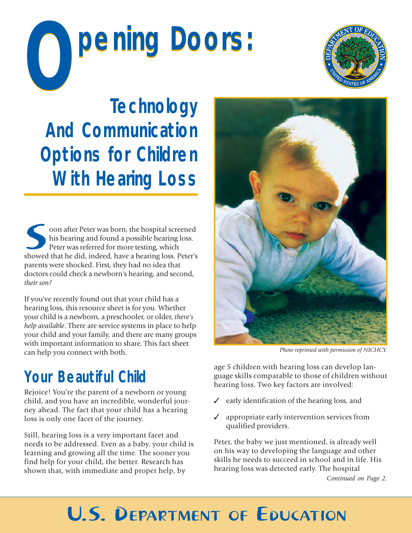# pening Doors:



**Technology And Communication Options for Children With Hearing Loss**

showed that he did, indeed, have a hearing loss. Peter's showed that he did, indeed, have a hearing loss. Peter's oon after Peter was born, the hospital screened his hearing and found a possible hearing loss. Peter was referred for more testing, which parents were shocked. First, they had no idea that doctors could check a newborn's hearing, and second, *their son?*

If you've recently found out that your child has a hearing loss, this resource sheet is for you. Whether your child is a newborn, a preschooler, or older, *there's help available*. There are service systems in place to help your child and your family, and there are many groups with important information to share. This fact sheet can help you connect with both.

### **Your Beautiful Child**

Rejoice! You're the parent of a newborn or young child, and you have an incredible, wonderful journey ahead. The fact that your child has a hearing loss is only one facet of the journey.

Still, hearing loss is a very important facet and needs to be addressed. Even as a baby, your child is learning and growing all the time. The sooner you find help for your child, the better. Research has shown that, with immediate and proper help, by



*Photo reprinted with permission of NICHCY.*

age 5 children with hearing loss can develop language skills comparable to those of children without hearing loss. Two key factors are involved:

- ✓ early identification of the hearing loss, and
- appropriate early intervention services from qualified providers.

Peter, the baby we just mentioned, is already well on his way to developing the language and other skills he needs to succeed in school and in life. His hearing loss was detected early. The hospital

*Continued on Page 2.*

### U.S. DEPARTMENT OF EDUCATION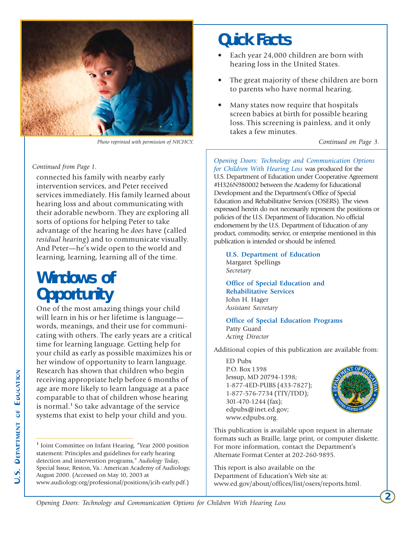

*Photo reprinted with permission of NICHCY.*

#### *Continued from Page 1.*

connected his family with nearby early intervention services, and Peter received services immediately. His family learned about hearing loss and about communicating with their adorable newborn. They are exploring all sorts of options for helping Peter to take advantage of the hearing he *does* have (called *residual hearing*) and to communicate visually. And Peter—he's wide open to the world and learning, learning, learning all of the time.

### **Windows of Opportunity**

One of the most amazing things your child will learn in his or her lifetime is language words, meanings, and their use for communicating with others. The early years are a critical time for learning language. Getting help for your child as early as possible maximizes his or her window of opportunity to learn language. Research has shown that children who begin receiving appropriate help before 6 months of age are more likely to learn language at a pace comparable to that of children whose hearing is normal.**<sup>1</sup>** So take advantage of the service systems that exist to help your child and you.

### **Quick Facts**

- Each year 24,000 children are born with hearing loss in the United States.
- The great majority of these children are born to parents who have normal hearing.
- Many states now require that hospitals screen babies at birth for possible hearing loss. This screening is painless, and it only takes a few minutes.

*Continued on Page 3.*

*Opening Doors: Technology and Communication Options for Children With Hearing Loss* was produced for the U.S. Department of Education under Cooperative Agreement #H326N980002 between the Academy for Educational Development and the Department's Office of Special Education and Rehabilitative Services (OSERS). The views expressed herein do not necessarily represent the positions or policies of the U.S. Department of Education. No official endorsement by the U.S. Department of Education of any product, commodity, service, or enterprise mentioned in this publication is intended or should be inferred.

**U.S. Department of Education** Margaret Spellings *Secretary*

**Office of Special Education and Rehabilitative Services** John H. Hager *Assistant Secretary*

**Office of Special Education Programs** Patty Guard *Acting Director*

Additional copies of this publication are available from:

ED Pubs P.O. Box 1398 Jessup, MD 20794-1398; 1-877-4ED-PUBS (433-7827); 1-877-576-7734 (TTY/TDD); 301-470-1244 (fax); edpubs@inet.ed.gov; www.edpubs.org.



This publication is available upon request in alternate formats such as Braille, large print, or computer diskette. For more information, contact the Department's Alternate Format Center at 202-260-9895.

This report is also available on the Department of Education's Web site at: www.ed.gov/about/offices/list/osers/reports.html.

**<sup>1</sup>** Joint Committee on Infant Hearing. "Year 2000 position statement: Principles and guidelines for early hearing detection and intervention programs," *Audiology Today*, Special Issue, Reston, Va.: American Academy of Audiology, August 2000. (Accessed on May 10, 2003 at www.audiology.org/professional/positions/jcih-early.pdf.)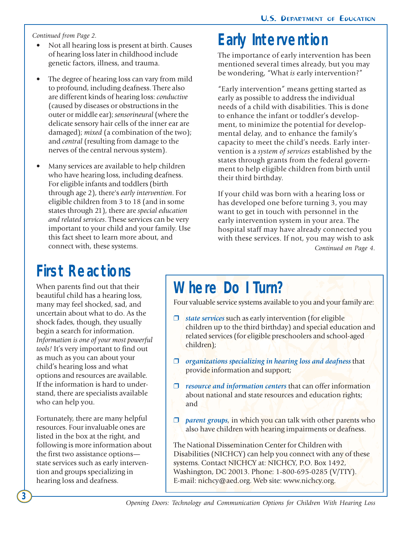*Continued from Page 2.*

- Not all hearing loss is present at birth. Causes of hearing loss later in childhood include genetic factors, illness, and trauma.
- The degree of hearing loss can vary from mild to profound, including deafness. There also are different kinds of hearing loss: *conductive* (caused by diseases or obstructions in the outer or middle ear); *sensorineural* (where the delicate sensory hair cells of the inner ear are damaged); *mixed* (a combination of the two); and *central* (resulting from damage to the nerves of the central nervous system).
- Many services are available to help children who have hearing loss, including deafness. For eligible infants and toddlers (birth through age 2), there's *early intervention*. For eligible children from 3 to 18 (and in some states through 21), there are *special education and related services*. These services can be very important to your child and your family. Use this fact sheet to learn more about, and connect with, these systems.

### **First Reactions**

When parents find out that their beautiful child has a hearing loss, many may feel shocked, sad, and uncertain about what to do. As the shock fades, though, they usually begin a search for information. *Information is one of your most powerful tools!* It's very important to find out as much as you can about your child's hearing loss and what options and resources are available. If the information is hard to understand, there are specialists available who can help you.

Fortunately, there are many helpful resources. Four invaluable ones are listed in the box at the right, and following is more information about the first two assistance options state services such as early intervention and groups specializing in hearing loss and deafness.

**3**

### **Early Intervention**

The importance of early intervention has been mentioned several times already, but you may be wondering, "What *is* early intervention?"

"Early intervention" means getting started as early as possible to address the individual needs of a child with disabilities. This is done to enhance the infant or toddler's development, to minimize the potential for developmental delay, and to enhance the family's capacity to meet the child's needs. Early intervention is a *system of services* established by the states through grants from the federal government to help eligible children from birth until their third birthday.

If your child was born with a hearing loss or has developed one before turning 3, you may want to get in touch with personnel in the early intervention system in your area. The hospital staff may have already connected you with these services. If not, you may wish to ask *Continued on Page 4.*

### **Where Do I Turn?**

Four valuable service systems available to you and your family are:

- ❒ *state services* such as early intervention (for eligible children up to the third birthday) and special education and related services (for eligible preschoolers and school-aged children);
- ❒ *organizations specializing in hearing loss and deafness* that provide information and support;
- ❒ *resource and information centers* that can offer information about national and state resources and education rights; and
- ❒ *parent groups,* in which you can talk with other parents who also have children with hearing impairments or deafness.

The National Dissemination Center for Children with Disabilities (NICHCY) can help you connect with any of these systems. Contact NICHCY at: NICHCY, P.O. Box 1492, Washington, DC 20013. Phone: 1-800-695-0285 (V/TTY). E-mail: nichcy@aed.org. Web site: www.nichcy.org.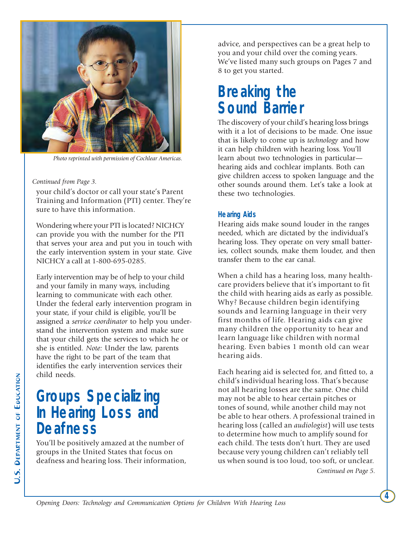

*Photo reprinted with permission of Cochlear Americas.*

#### *Continued from Page 3.*

your child's doctor or call your state's Parent Training and Information (PTI) center. They're sure to have this information.

Wondering where your PTI is located? NICHCY can provide you with the number for the PTI that serves your area and put you in touch with the early intervention system in your state. Give NICHCY a call at 1-800-695-0285.

Early intervention may be of help to your child and your family in many ways, including learning to communicate with each other. Under the federal early intervention program in your state, if your child is eligible, you'll be assigned a *service coordinator* to help you understand the intervention system and make sure that your child gets the services to which he or she is entitled. *Note:* Under the law, parents have the right to be part of the team that identifies the early intervention services their child needs.

### **Groups Specializing In Hearing Loss and Deafness**

You'll be positively amazed at the number of groups in the United States that focus on deafness and hearing loss. Their information, advice, and perspectives can be a great help to you and your child over the coming years. We've listed many such groups on Pages 7 and 8 to get you started.

### **Breaking the Sound Barrier**

The discovery of your child's hearing loss brings with it a lot of decisions to be made. One issue that is likely to come up is *technology* and how it can help children with hearing loss. You'll learn about two technologies in particular hearing aids and cochlear implants. Both can give children access to spoken language and the other sounds around them. Let's take a look at these two technologies.

#### **Hearing Aids**

Hearing aids make sound louder in the ranges needed, which are dictated by the individual's hearing loss. They operate on very small batteries, collect sounds, make them louder, and then transfer them to the ear canal.

When a child has a hearing loss, many healthcare providers believe that it's important to fit the child with hearing aids as early as possible. Why? Because children begin identifying sounds and learning language in their very first months of life. Hearing aids can give many children the opportunity to hear and learn language like children with normal hearing. Even babies 1 month old can wear hearing aids.

Each hearing aid is selected for, and fitted to, a child's individual hearing loss. That's because not all hearing losses are the same. One child may not be able to hear certain pitches or tones of sound, while another child may not be able to hear others. A professional trained in hearing loss (called an *audiologist*) will use tests to determine how much to amplify sound for each child. The tests don't hurt. They are used because very young children can't reliably tell us when sound is too loud, too soft, or unclear.

*Continued on Page 5.*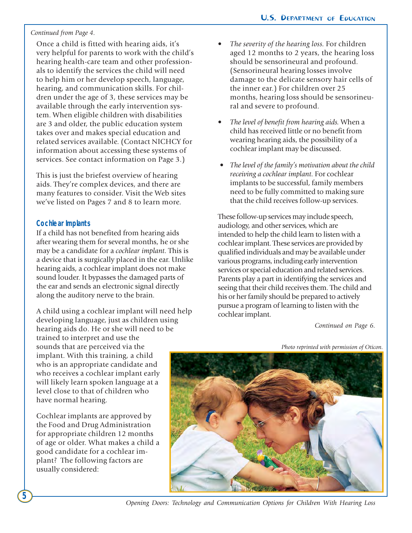#### *Continued from Page 4.*

Once a child is fitted with hearing aids, it's very helpful for parents to work with the child's hearing health-care team and other professionals to identify the services the child will need to help him or her develop speech, language, hearing, and communication skills. For children under the age of 3, these services may be available through the early intervention system. When eligible children with disabilities are 3 and older, the public education system takes over and makes special education and related services available. (Contact NICHCY for information about accessing these systems of services. See contact information on Page 3.)

This is just the briefest overview of hearing aids. They're complex devices, and there are many features to consider. Visit the Web sites we've listed on Pages 7 and 8 to learn more.

#### **Cochlear Implants**

If a child has not benefited from hearing aids after wearing them for several months, he or she may be a candidate for a *cochlear implant*. This is a device that is surgically placed in the ear. Unlike hearing aids, a cochlear implant does not make sound louder. It bypasses the damaged parts of the ear and sends an electronic signal directly along the auditory nerve to the brain.

A child using a cochlear implant will need help developing language, just as children using hearing aids do. He or she will need to be trained to interpret and use the sounds that are perceived via the implant. With this training, a child who is an appropriate candidate and who receives a cochlear implant early will likely learn spoken language at a level close to that of children who have normal hearing.

Cochlear implants are approved by the Food and Drug Administration for appropriate children 12 months of age or older. What makes a child a good candidate for a cochlear implant? The following factors are usually considered:

- *The severity of the hearing loss.* For children aged 12 months to 2 years, the hearing loss should be sensorineural and profound. (Sensorineural hearing losses involve damage to the delicate sensory hair cells of the inner ear.) For children over 25 months, hearing loss should be sensorineural and severe to profound.
- *The level of benefit from hearing aids.* When a child has received little or no benefit from wearing hearing aids, the possibility of a cochlear implant may be discussed.
- *The level of the family's motivation about the child receiving a cochlear implant.* For cochlear implants to be successful, family members need to be fully committed to making sure that the child receives follow-up services.

These follow-up services may include speech, audiology, and other services, which are intended to help the child learn to listen with a cochlear implant. These services are provided by qualified individuals and may be available under various programs, including early intervention services or special education and related services. Parents play a part in identifying the services and seeing that their child receives them. The child and his or her family should be prepared to actively pursue a program of learning to listen with the cochlear implant.

*Continued on Page 6.*

*Photo reprinted with permission of Oticon.*



*Opening Doors: Technology and Communication Options for Children With Hearing Loss*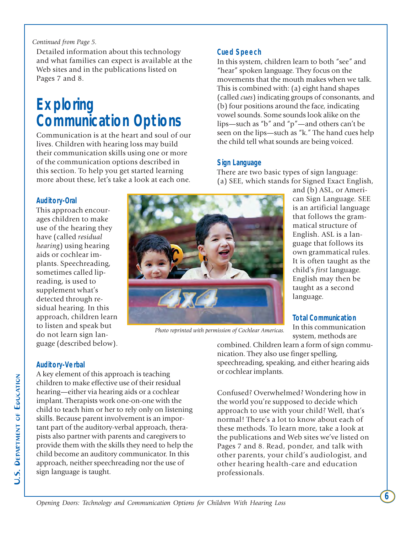#### *Continued from Page 5.*

Detailed information about this technology and what families can expect is available at the Web sites and in the publications listed on Pages 7 and 8.

### **Exploring Communication Options**

Communication is at the heart and soul of our lives. Children with hearing loss may build their communication skills using one or more of the communication options described in this section. To help you get started learning more about these, let's take a look at each one.

#### **Cued Speech**

In this system, children learn to both "see" and "hear" spoken language. They focus on the movements that the mouth makes when we talk. This is combined with: (a) eight hand shapes (called *cues*) indicating groups of consonants, and (b) four positions around the face, indicating vowel sounds. Some sounds look alike on the lips—such as "b" and "p"—and others can't be seen on the lips—such as "k." The hand cues help the child tell what sounds are being voiced.

#### **Sign Language**

There are two basic types of sign language: (a) SEE, which stands for Signed Exact English,

#### **Auditory-Oral**

This approach encourages children to make use of the hearing they have (called *residual hearing*) using hearing aids or cochlear implants. Speechreading, sometimes called lipreading, is used to supplement what's detected through residual hearing. In this approach, children learn to listen and speak but do not learn sign language (described below).



*Photo reprinted with permission of Cochlear Americas.*

and (b) ASL, or American Sign Language. SEE is an artificial language that follows the grammatical structure of English. ASL is a language that follows its own grammatical rules. It is often taught as the child's *first* language. English may then be taught as a second language.

#### **Total Communication**

In this communication system, methods are

**6**

combined. Children learn a form of sign communication. They also use finger spelling, speechreading, speaking, and either hearing aids or cochlear implants.

Confused? Overwhelmed? Wondering how in the world you're supposed to decide which approach to use with your child? Well, that's normal! There's a lot to know about each of these methods. To learn more, take a look at the publications and Web sites we've listed on Pages 7 and 8. Read, ponder, and talk with other parents, your child's audiologist, and other hearing health-care and education professionals.

#### **Auditory-Verbal**

A key element of this approach is teaching children to make effective use of their residual hearing—either via hearing aids or a cochlear implant. Therapists work one-on-one with the child to teach him or her to rely only on listening skills. Because parent involvement is an important part of the auditory-verbal approach, therapists also partner with parents and caregivers to provide them with the skills they need to help the child become an auditory communicator. In this approach, neither speechreading nor the use of sign language is taught.

*Opening Doors: Technology and Communication Options for Children With Hearing Loss*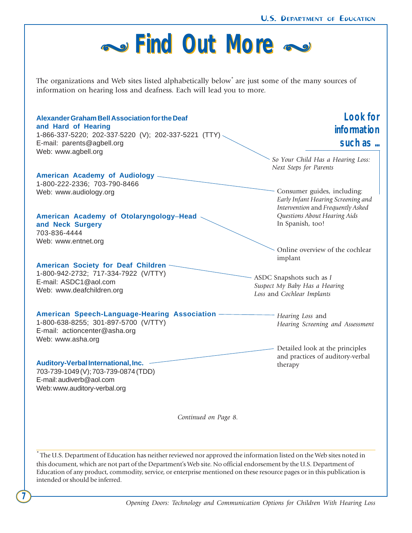

\* The U.S. Department of Education has neither reviewed nor approved the information listed on the Web sites noted in this document, which are not part of the Department's Web site. No official endorsement by the U.S. Department of Education of any product, commodity, service, or enterprise mentioned on these resource pages or in this publication is intended or should be inferred.

**7**